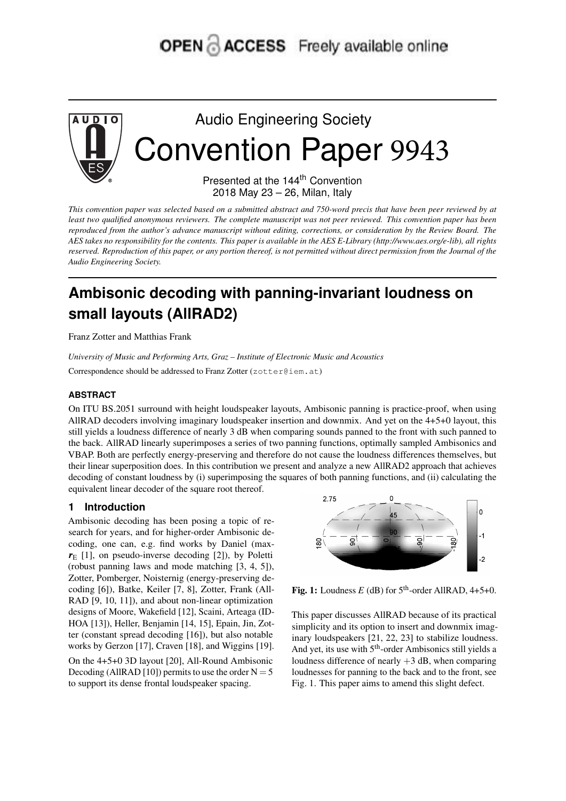# **OPEN ACCESS** Freely available online



Audio Engineering Society Convention Paper 9943

> Presented at the 144<sup>th</sup> Convention 2018 May 23 – 26, Milan, Italy

This convention paper was selected based on a submitted abstract and 750-word precis that have been peer reviewed by at least two qualified anonymous reviewers. The complete manuscript was not peer reviewed. This convention paper has been reproduced from the author's advance manuscript without editing, corrections, or consideration by the Review Board. The AES takes no responsibility for the contents. This paper is available in the AES E-Library (http://www.aes.org/e-lib), all rights reserved. Reproduction of this paper, or any portion thereof, is not permitted without direct permission from the Journal of the *Audio Engineering Society.*

# **Ambisonic decoding with panning-invariant loudness on small layouts (AllRAD2)**

Franz Zotter and Matthias Frank

*University of Music and Performing Arts, Graz – Institute of Electronic Music and Acoustics* Correspondence should be addressed to Franz Zotter (zotter@iem.at)

# **ABSTRACT**

On ITU BS.2051 surround with height loudspeaker layouts, Ambisonic panning is practice-proof, when using AllRAD decoders involving imaginary loudspeaker insertion and downmix. And yet on the 4+5+0 layout, this still yields a loudness difference of nearly 3 dB when comparing sounds panned to the front with such panned to the back. AllRAD linearly superimposes a series of two panning functions, optimally sampled Ambisonics and VBAP. Both are perfectly energy-preserving and therefore do not cause the loudness differences themselves, but their linear superposition does. In this contribution we present and analyze a new AllRAD2 approach that achieves decoding of constant loudness by (i) superimposing the squares of both panning functions, and (ii) calculating the equivalent linear decoder of the square root thereof.

# **1 Introduction**

Ambisonic decoding has been posing a topic of research for years, and for higher-order Ambisonic decoding, one can, e.g. find works by Daniel (max $r_E$  [1], on pseudo-inverse decoding [2]), by Poletti (robust panning laws and mode matching [3, 4, 5]), Zotter, Pomberger, Noisternig (energy-preserving decoding [6]), Batke, Keiler [7, 8], Zotter, Frank (All-RAD [9, 10, 11]), and about non-linear optimization designs of Moore, Wakefield [12], Scaini, Arteaga (ID-HOA [13]), Heller, Benjamin [14, 15], Epain, Jin, Zotter (constant spread decoding [16]), but also notable works by Gerzon [17], Craven [18], and Wiggins [19].

On the 4+5+0 3D layout [20], All-Round Ambisonic Decoding (AllRAD [10]) permits to use the order  $N = 5$ to support its dense frontal loudspeaker spacing.



Fig. 1: Loudness  $E$  (dB) for  $5<sup>th</sup>$ -order AllRAD, 4+5+0.

This paper discusses AllRAD because of its practical simplicity and its option to insert and downmix imaginary loudspeakers [21, 22, 23] to stabilize loudness. And yet, its use with 5<sup>th</sup>-order Ambisonics still yields a loudness difference of nearly +3 dB, when comparing loudnesses for panning to the back and to the front, see Fig. 1. This paper aims to amend this slight defect.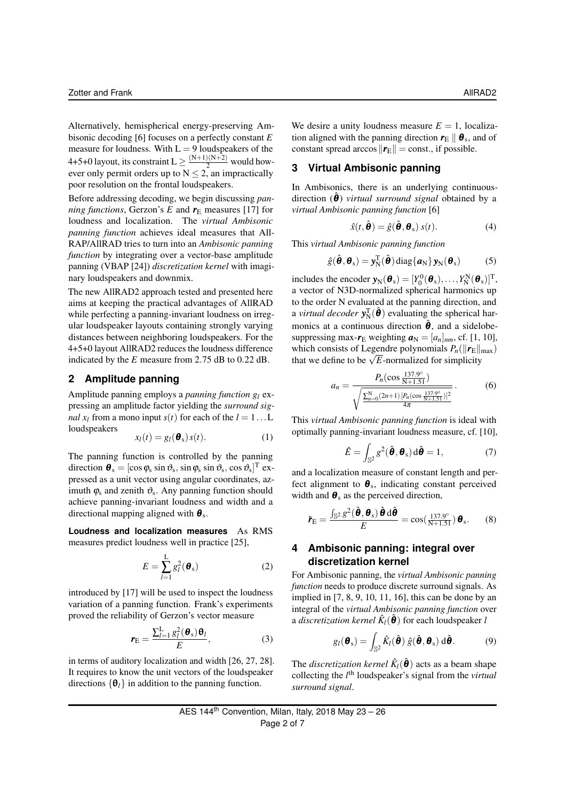Alternatively, hemispherical energy-preserving Ambisonic decoding [6] focuses on a perfectly constant *E* measure for loudness. With  $L = 9$  loudspeakers of the 4+5+0 layout, its constraint  $L \geq \frac{(N+1)(N+2)}{2}$  would however only permit orders up to  $N < 2$ , an impractically poor resolution on the frontal loudspeakers.

Before addressing decoding, we begin discussing *panning functions*, Gerzon's *E* and  $r_E$  measures [17] for loudness and localization. The *virtual Ambisonic panning function* achieves ideal measures that All-RAP/AllRAD tries to turn into an *Ambisonic panning function* by integrating over a vector-base amplitude panning (VBAP [24]) *discretization kernel* with imaginary loudspeakers and downmix.

The new AllRAD2 approach tested and presented here aims at keeping the practical advantages of AllRAD while perfecting a panning-invariant loudness on irregular loudspeaker layouts containing strongly varying distances between neighboring loudspeakers. For the 4+5+0 layout AllRAD2 reduces the loudness difference indicated by the *E* measure from 2.75 dB to 0.22 dB.

## **2 Amplitude panning**

Amplitude panning employs a *panning function g<sup>l</sup>* expressing an amplitude factor yielding the *surround signal*  $x_l$  from a mono input  $s(t)$  for each of the  $l = 1...L$ loudspeakers

$$
x_l(t) = g_l(\boldsymbol{\theta}_s) s(t). \tag{1}
$$

The panning function is controlled by the panning direction  $\boldsymbol{\theta}_{\rm s} = [\cos \varphi_{\rm s} \sin \vartheta_{\rm s}, \sin \varphi_{\rm s} \sin \vartheta_{\rm s}, \cos \vartheta_{\rm s}]^{\rm T}$  expressed as a unit vector using angular coordinates, azimuth  $\varphi_s$  and zenith  $\vartheta_s$ . Any panning function should achieve panning-invariant loudness and width and a directional mapping aligned with  $\theta_s$ .

**Loudness and localization measures** As RMS measures predict loudness well in practice [25],

$$
E = \sum_{l=1}^{L} g_l^2(\boldsymbol{\theta}_s)
$$
 (2)

introduced by [17] will be used to inspect the loudness variation of a panning function. Frank's experiments proved the reliability of Gerzon's vector measure

$$
\boldsymbol{r}_{\mathrm{E}} = \frac{\sum_{l=1}^{\mathrm{L}} g_l^2(\boldsymbol{\theta}_{\mathrm{s}}) \boldsymbol{\theta}_l}{E},\tag{3}
$$

in terms of auditory localization and width [26, 27, 28]. It requires to know the unit vectors of the loudspeaker directions  $\{\theta_i\}$  in addition to the panning function.

We desire a unity loudness measure  $E = 1$ , localization aligned with the panning direction  $r_{\rm E} \parallel \theta_{\rm s}$ , and of constant spread arccos  $\Vert \mathbf{r}_{\mathrm{E}} \Vert = \text{const.}$ , if possible.

### **3 Virtual Ambisonic panning**

In Ambisonics, there is an underlying continuousdirection  $(\theta)$  *virtual surround signal* obtained by a *virtual Ambisonic panning function* [6]

$$
\hat{x}(t, \hat{\boldsymbol{\theta}}) = \hat{g}(\hat{\boldsymbol{\theta}}, \boldsymbol{\theta}_{\rm s}) \; s(t). \tag{4}
$$

This *virtual Ambisonic panning function*

$$
\hat{g}(\hat{\boldsymbol{\theta}}, \boldsymbol{\theta}_{\rm s}) = \mathbf{y}_{\rm N}^{\rm T}(\hat{\boldsymbol{\theta}}) \operatorname{diag}\{\boldsymbol{a}_{\rm N}\}\mathbf{y}_{\rm N}(\boldsymbol{\theta}_{\rm s})
$$
(5)

includes the encoder  $\mathbf{y}_N(\boldsymbol{\theta}_s) = [Y_0^0(\boldsymbol{\theta}_s), \dots, Y_N^N(\boldsymbol{\theta}_s)]^T$ , a vector of N3D-normalized spherical harmonics up to the order N evaluated at the panning direction, and a *virtual decoder*  $y_N^T(\hat{\theta})$  evaluating the spherical harmonics at a continuous direction  $\hat{\theta}$ , and a sidelobesuppressing max- $r_E$  weighting  $a_N = [a_n]_{nm}$ , cf. [1, 10], which consists of Legendre polynomials  $P_n(\|\mathbf{r}_{\text{E}}\|_{\text{max}})$ which consists of Legendre polynomials  $P_n(||P_E||)$ <br>that we define to be  $\sqrt{E}$ -normalized for simplicity

$$
a_n = \frac{P_n(\cos\frac{137.9^{\circ}}{N+1.51})}{\sqrt{\frac{\sum_{n=0}^{N}(2n+1)[P_n(\cos\frac{137.9^{\circ}}{N+1.51})]^2}{4\pi}}}.
$$
(6)

This *virtual Ambisonic panning function* is ideal with optimally panning-invariant loudness measure, cf. [10],

$$
\hat{E} = \int_{\mathbb{S}^2} g^2(\hat{\boldsymbol{\theta}}, \boldsymbol{\theta}_s) d\hat{\boldsymbol{\theta}} = 1, \tag{7}
$$

and a localization measure of constant length and perfect alignment to  $\theta_{\rm s}$ , indicating constant perceived width and  $\theta_s$  as the perceived direction,

$$
\hat{\mathbf{r}}_{\rm E} = \frac{\int_{\mathbb{S}^2} g^2(\hat{\boldsymbol{\theta}}, \boldsymbol{\theta}_{\rm S}) \hat{\boldsymbol{\theta}} \, \mathrm{d} \hat{\boldsymbol{\theta}}}{E} = \cos(\frac{137.9^{\circ}}{N+1.51}) \, \boldsymbol{\theta}_{\rm s}.
$$
 (8)

# **4 Ambisonic panning: integral over discretization kernel**

For Ambisonic panning, the *virtual Ambisonic panning function* needs to produce discrete surround signals. As implied in [7, 8, 9, 10, 11, 16], this can be done by an integral of the *virtual Ambisonic panning function* over a *discretization kernel*  $\hat{K}_l(\hat{\theta})$  for each loudspeaker *l* 

$$
g_l(\boldsymbol{\theta}_s) = \int_{\mathbb{S}^2} \hat{K}_l(\hat{\boldsymbol{\theta}}) \hat{g}(\hat{\boldsymbol{\theta}}, \boldsymbol{\theta}_s) \, d\hat{\boldsymbol{\theta}}.
$$
 (9)

The *discretization kernel*  $\hat{K}_l(\hat{\theta})$  acts as a beam shape collecting the *l*<sup>th</sup> loudspeaker's signal from the *virtual surround signal*.

AES 144<sup>th</sup> Convention, Milan, Italy, 2018 May 
$$
23 - 26
$$

\nPage 2 of 7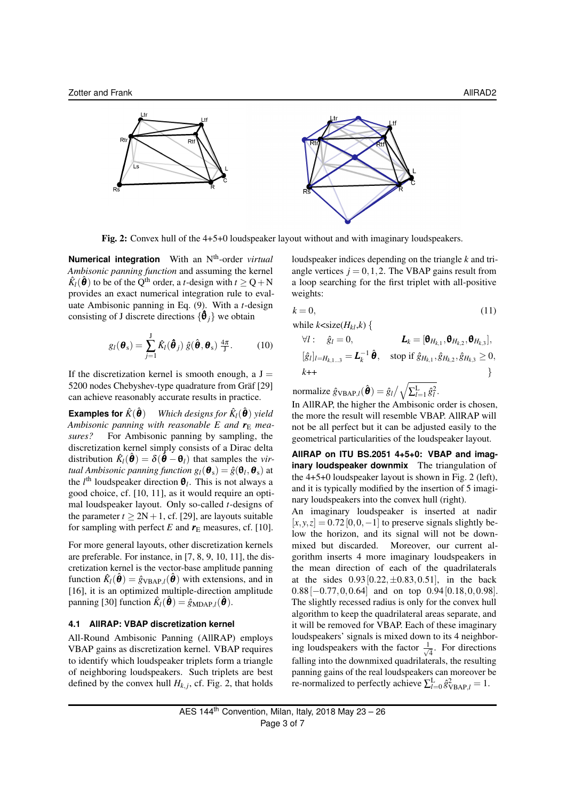

Fig. 2: Convex hull of the 4+5+0 loudspeaker layout without and with imaginary loudspeakers.

**Numerical integration** With an N th-order *virtual Ambisonic panning function* and assuming the kernel  $\hat{K}_l(\hat{\theta})$  to be of the Q<sup>th</sup> order, a *t*-design with  $t \ge Q + N$ provides an exact numerical integration rule to evaluate Ambisonic panning in Eq. (9). With a *t*-design consisting of J discrete directions  $\{\hat{\theta}_j\}$  we obtain

$$
g_l(\boldsymbol{\theta}_s) = \sum_{j=1}^J \hat{K}_l(\boldsymbol{\hat{\theta}}_j) \hat{g}(\boldsymbol{\hat{\theta}}, \boldsymbol{\theta}_s) \frac{4\pi}{J}.
$$
 (10)

If the discretization kernel is smooth enough, a  $J =$ 5200 nodes Chebyshev-type quadrature from Gräf [29] can achieve reasonably accurate results in practice.

**Examples for**  $\hat{K}(\hat{\theta})$  $\hat{\boldsymbol{\theta}}$ ) *Which designs for*  $\hat{K}_l(\hat{\boldsymbol{\theta}})$  yield *Ambisonic panning with reasonable E* and  $r_E$  *measures?* For Ambisonic panning by sampling, the discretization kernel simply consists of a Dirac delta distribution  $\hat{K}_l(\hat{\theta}) = \delta(\hat{\theta} - \theta_l)$  that samples the *virtual Ambisonic panning function*  $g_l(\boldsymbol{\theta}_s) = \hat{g}(\boldsymbol{\theta}_l, \boldsymbol{\theta}_s)$  *at* the  $l^{\text{th}}$  loudspeaker direction  $\theta_l$ . This is not always a good choice, cf. [10, 11], as it would require an optimal loudspeaker layout. Only so-called *t*-designs of the parameter  $t \geq 2N+1$ , cf. [29], are layouts suitable for sampling with perfect *E* and  $r<sub>E</sub>$  measures, cf. [10].

For more general layouts, other discretization kernels are preferable. For instance, in [7, 8, 9, 10, 11], the discretization kernel is the vector-base amplitude panning function  $\hat{K}_l(\hat{\theta}) = \hat{g}_{\text{VBAP},l}(\hat{\theta})$  with extensions, and in [16], it is an optimized multiple-direction amplitude panning [30] function  $\hat{K}_l(\hat{\boldsymbol{\theta}}) = \hat{g}_{\text{MDAP},l}(\hat{\boldsymbol{\theta}})$ .

#### **4.1 AllRAP: VBAP discretization kernel**

All-Round Ambisonic Panning (AllRAP) employs VBAP gains as discretization kernel. VBAP requires to identify which loudspeaker triplets form a triangle of neighboring loudspeakers. Such triplets are best defined by the convex hull  $H_{k,j}$ , cf. Fig. 2, that holds

loudspeaker indices depending on the triangle *k* and triangle vertices  $j = 0, 1, 2$ . The VBAP gains result from a loop searching for the first triplet with all-positive weights:

$$
k = 0,\tag{11}
$$

while  $k$  < size( $H_{kl}$ , $k$ ) {

$$
\forall l: \hat{g}_l = 0, \qquad L_k = [\mathbf{\theta}_{H_{k,1}}, \mathbf{\theta}_{H_{k,2}}, \mathbf{\theta}_{H_{k,3}}],
$$
  

$$
[\hat{g}_l]_{l=H_{k,1...3}} = \mathbf{L}_k^{-1} \hat{\mathbf{\theta}}, \quad \text{stop if } \hat{g}_{H_{k,1}}, \hat{g}_{H_{k,2}}, \hat{g}_{H_{k,3}} \ge 0,
$$
  

$$
k+1
$$

normalize  $\hat{g}_{\text{VBAP},l}(\hat{\theta}) = \hat{g}_l / \sqrt{\sum_{l=1}^{L} \hat{g}_l^2}$ . In AllRAP, the higher the Ambisonic order is chosen,

the more the result will resemble VBAP. AllRAP will not be all perfect but it can be adjusted easily to the geometrical particularities of the loudspeaker layout.

**AllRAP on ITU BS.2051 4+5+0: VBAP and imaginary loudspeaker downmix** The triangulation of the 4+5+0 loudspeaker layout is shown in Fig. 2 (left), and it is typically modified by the insertion of 5 imaginary loudspeakers into the convex hull (right).

An imaginary loudspeaker is inserted at nadir  $[x, y, z] = 0.72[0, 0, -1]$  to preserve signals slightly below the horizon, and its signal will not be downmixed but discarded. Moreover, our current algorithm inserts 4 more imaginary loudspeakers in the mean direction of each of the quadrilaterals at the sides  $0.93[0.22, \pm 0.83, 0.51]$ , in the back  $0.88[-0.77, 0, 0.64]$  and on top  $0.94[0.18, 0, 0.98]$ . The slightly recessed radius is only for the convex hull algorithm to keep the quadrilateral areas separate, and it will be removed for VBAP. Each of these imaginary loudspeakers' signals is mixed down to its 4 neighboring loudspeakers with the factor  $\frac{1}{4}$  $\overline{4}$ . For directions falling into the downmixed quadrilaterals, the resulting panning gains of the real loudspeakers can moreover be re-normalized to perfectly achieve  $\sum_{l=0}^{L} \hat{g}_{\text{VBAP},l}^2 = 1$ .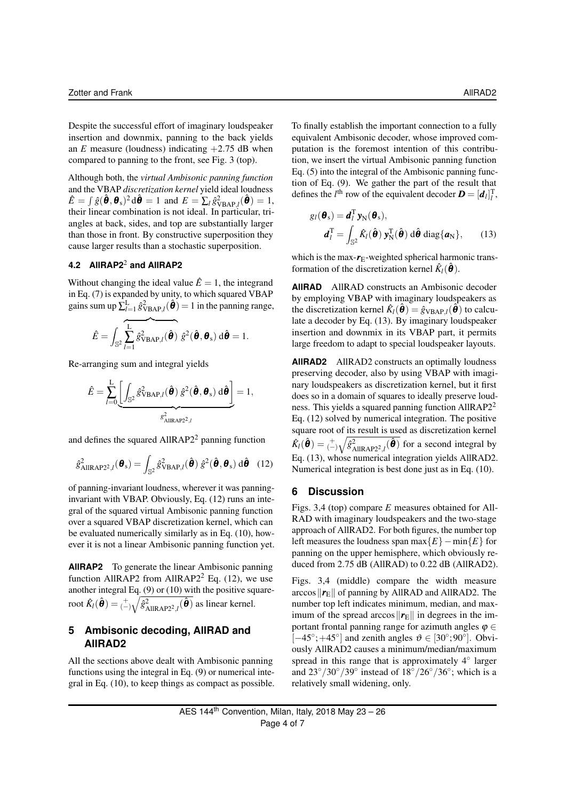Despite the successful effort of imaginary loudspeaker insertion and downmix, panning to the back yields an *E* measure (loudness) indicating  $+2.75$  dB when compared to panning to the front, see Fig. 3 (top).

Although both, the *virtual Ambisonic panning function* and the VBAP *discretization kernel* yield ideal loudness  $\hat{E} = \int \hat{g}(\hat{\boldsymbol{\theta}}, \boldsymbol{\theta}_s)^2 d\hat{\boldsymbol{\theta}} = 1$  and  $E = \sum_l \hat{g}_{\text{VBAP},l}^2(\hat{\boldsymbol{\theta}}) = 1$ , their linear combination is not ideal. In particular, triangles at back, sides, and top are substantially larger than those in front. By constructive superposition they cause larger results than a stochastic superposition.

# **4.2 AllRAP2**<sup>2</sup> **and AllRAP2**

Without changing the ideal value  $\hat{E} = 1$ , the integrand in Eq. (7) is expanded by unity, to which squared VBAP gains sum up  $\sum_{l=1}^{L} \hat{g}_{\text{VBAP},l}^2(\hat{\theta}) = 1$  in the panning range,

$$
\hat{E} = \int_{\mathbb{S}^2} \overline{\sum_{l=1}^L \hat{g}_{VBAP,l}^2(\hat{\boldsymbol{\theta}})} \hat{g}^2(\hat{\boldsymbol{\theta}}, \boldsymbol{\theta}_s) d\hat{\boldsymbol{\theta}} = 1.
$$

Re-arranging sum and integral yields

$$
\hat{E} = \sum_{l=0}^{L} \underbrace{\left[ \int_{\mathbb{S}^2} \hat{g}_{\text{VBAP},l}^2(\hat{\boldsymbol{\theta}}) \hat{g}^2(\hat{\boldsymbol{\theta}}, \boldsymbol{\theta}_{\text{s}}) \, d\hat{\boldsymbol{\theta}} \right]}_{g_{\text{AlIRAP2}^2,l}^2} = 1,
$$

and defines the squared  $AllRAP2<sup>2</sup>$  panning function

$$
\hat{g}_{\text{AllRAP2}^2,l}^2(\boldsymbol{\theta}_s) = \int_{\mathbb{S}^2} \hat{g}_{\text{VBAP},l}^2(\hat{\boldsymbol{\theta}}) \hat{g}^2(\hat{\boldsymbol{\theta}}, \boldsymbol{\theta}_s) \, d\hat{\boldsymbol{\theta}} \quad (12)
$$

of panning-invariant loudness, wherever it was panninginvariant with VBAP. Obviously, Eq. (12) runs an integral of the squared virtual Ambisonic panning function over a squared VBAP discretization kernel, which can be evaluated numerically similarly as in Eq. (10), however it is not a linear Ambisonic panning function yet.

**AllRAP2** To generate the linear Ambisonic panning function AllRAP2 from AllRAP2<sup>2</sup> Eq.  $(12)$ , we use another integral Eq. (9) or (10) with the positive squareroot  $\hat{K}_l(\hat{\bm{\theta}}) = \binom{+}{\ell} \sqrt{\hat{g}_{\text{AllRAP2}^2,l}^2(\hat{\bm{\theta}})}$  as linear kernel.

# **5 Ambisonic decoding, AllRAD and AllRAD2**

All the sections above dealt with Ambisonic panning functions using the integral in Eq. (9) or numerical integral in Eq. (10), to keep things as compact as possible. To finally establish the important connection to a fully equivalent Ambisonic decoder, whose improved computation is the foremost intention of this contribution, we insert the virtual Ambisonic panning function Eq. (5) into the integral of the Ambisonic panning function of Eq. (9). We gather the part of the result that defines the *l*<sup>th</sup> row of the equivalent decoder  $\mathbf{D} = [\mathbf{d}_l]_l^{\mathrm{T}}$ ,

$$
g_l(\boldsymbol{\theta}_s) = \boldsymbol{d}_l^{\mathrm{T}} \boldsymbol{y}_N(\boldsymbol{\theta}_s),
$$

$$
\boldsymbol{d}_l^{\mathrm{T}} = \int_{\mathbb{S}^2} \hat{K}_l(\hat{\boldsymbol{\theta}}) \boldsymbol{y}_N^{\mathrm{T}}(\hat{\boldsymbol{\theta}}) \, d\hat{\boldsymbol{\theta}} \, \mathrm{diag}\{\boldsymbol{a}_N\}, \qquad (13)
$$

which is the max- $r_{\rm E}$ -weighted spherical harmonic transformation of the discretization kernel  $\hat{K}_l(\hat{\theta})$ .

**AllRAD** AllRAD constructs an Ambisonic decoder by employing VBAP with imaginary loudspeakers as the discretization kernel  $\hat{K}_l(\hat{\theta}) = \hat{g}_{\text{VBAP},l}(\hat{\theta})$  to calculate a decoder by Eq. (13). By imaginary loudspeaker insertion and downmix in its VBAP part, it permits large freedom to adapt to special loudspeaker layouts.

**AllRAD2** AllRAD2 constructs an optimally loudness preserving decoder, also by using VBAP with imaginary loudspeakers as discretization kernel, but it first does so in a domain of squares to ideally preserve loudness. This yields a squared panning function  $AlIRAP2<sup>2</sup>$ Eq. (12) solved by numerical integration. The positive square root of its result is used as discretization kernel  $\hat{K}_l(\hat{\theta}) = \binom{+}{-\sqrt{\hat{g}_{\text{AllRAP2}^2,l}^2(\hat{\theta})}}$  for a second integral by Eq. (13), whose numerical integration yields AllRAD2. Numerical integration is best done just as in Eq. (10).

# **6 Discussion**

Figs. 3,4 (top) compare *E* measures obtained for All-RAD with imaginary loudspeakers and the two-stage approach of AllRAD2. For both figures, the number top left measures the loudness span max{*E*}−min{*E*} for panning on the upper hemisphere, which obviously reduced from 2.75 dB (AllRAD) to 0.22 dB (AllRAD2).

Figs. 3,4 (middle) compare the width measure arccos  $\Vert \mathbf{r}_{\text{E}} \Vert$  of panning by AllRAD and AllRAD2. The number top left indicates minimum, median, and maximum of the spread arccos  $\Vert r_E \Vert$  in degrees in the important frontal panning range for azimuth angles  $\varphi \in$ [-45°; +45°] and zenith angles  $\vartheta \in [30^{\circ}; 90^{\circ}]$ . Obviously AllRAD2 causes a minimum/median/maximum spread in this range that is approximately 4° larger and  $23^{\circ}/30^{\circ}/39^{\circ}$  instead of  $18^{\circ}/26^{\circ}/36^{\circ}$ ; which is a relatively small widening, only.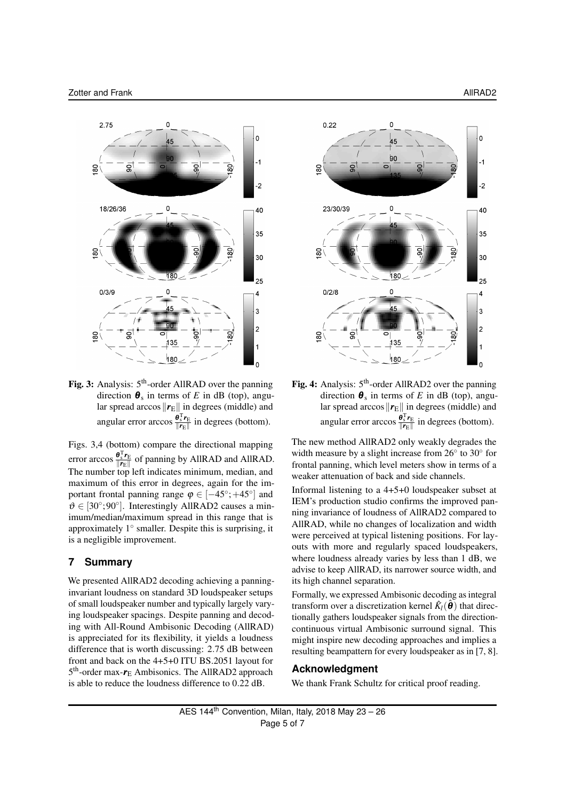

Fig. 3: Analysis: 5<sup>th</sup>-order AllRAD over the panning direction  $\theta_s$  in terms of *E* in dB (top), angular spread arccos  $\Vert r_E \Vert$  in degrees (middle) and angular error arccos  $\frac{\theta_{s}^{T} r_{E}}{\|r_{E}\|}$  $\frac{\mathbf{v}_s \cdot \mathbf{r}_E}{\|\mathbf{r}_E\|}$  in degrees (bottom).

Figs. 3,4 (bottom) compare the directional mapping error arccos  $\frac{\theta_{s}^{T} r_{E}}{\|r_{E}\|}$  $\frac{\mathbf{v}_s \mathbf{v}_E}{\|\mathbf{r}_E\|}$  of panning by AllRAD and AllRAD. The number top left indicates minimum, median, and maximum of this error in degrees, again for the important frontal panning range  $\varphi \in [-45^{\circ}; +45^{\circ}]$  and  $\vartheta \in [30^{\circ};90^{\circ}]$ . Interestingly AllRAD2 causes a minimum/median/maximum spread in this range that is approximately 1° smaller. Despite this is surprising, it is a negligible improvement.

# **7 Summary**

We presented AllRAD2 decoding achieving a panninginvariant loudness on standard 3D loudspeaker setups of small loudspeaker number and typically largely varying loudspeaker spacings. Despite panning and decoding with All-Round Ambisonic Decoding (AllRAD) is appreciated for its flexibility, it yields a loudness difference that is worth discussing: 2.75 dB between front and back on the 4+5+0 ITU BS.2051 layout for 5<sup>th</sup>-order max- $r_E$  Ambisonics. The AllRAD2 approach is able to reduce the loudness difference to 0.22 dB.



Fig. 4: Analysis: 5<sup>th</sup>-order AllRAD2 over the panning direction  $\theta_s$  in terms of *E* in dB (top), angular spread arccos  $\Vert \mathbf{r}_{E}\Vert$  in degrees (middle) and angular error arccos  $\frac{\theta_{s}^{T} r_{E}}{\|r_{E}\|}$  $\frac{\sigma_s r_E}{\|\mathbf{r}_E\|}$  in degrees (bottom).

The new method AllRAD2 only weakly degrades the width measure by a slight increase from 26° to 30° for frontal panning, which level meters show in terms of a weaker attenuation of back and side channels.

Informal listening to a 4+5+0 loudspeaker subset at IEM's production studio confirms the improved panning invariance of loudness of AllRAD2 compared to AllRAD, while no changes of localization and width were perceived at typical listening positions. For layouts with more and regularly spaced loudspeakers, where loudness already varies by less than 1 dB, we advise to keep AllRAD, its narrower source width, and its high channel separation.

Formally, we expressed Ambisonic decoding as integral transform over a discretization kernel  $\hat{K}_l(\hat{\theta})$  that directionally gathers loudspeaker signals from the directioncontinuous virtual Ambisonic surround signal. This might inspire new decoding approaches and implies a resulting beampattern for every loudspeaker as in [7, 8].

#### **Acknowledgment**

We thank Frank Schultz for critical proof reading.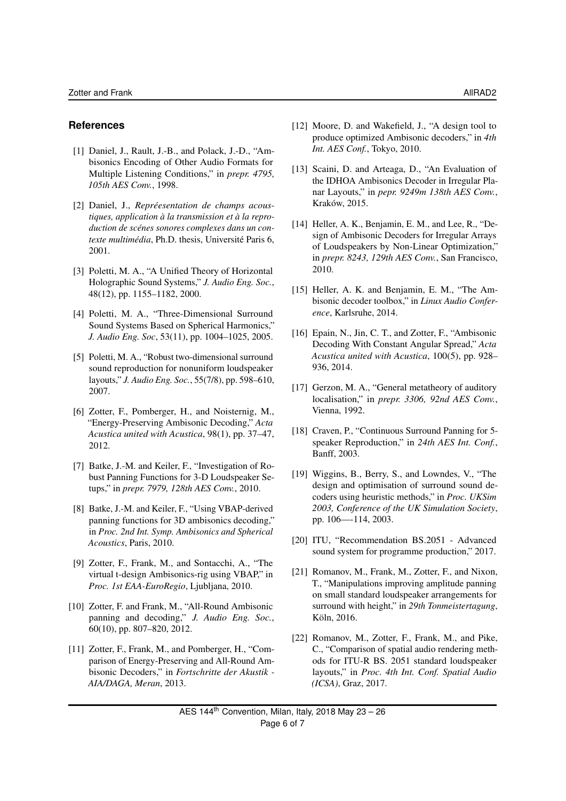# **References**

- [1] Daniel, J., Rault, J.-B., and Polack, J.-D., "Ambisonics Encoding of Other Audio Formats for Multiple Listening Conditions," in *prepr. 4795, 105th AES Conv.*, 1998.
- [2] Daniel, J., *Repréesentation de champs acoustiques, application à la transmission et à la reproduction de scénes sonores complexes dans un contexte multimédia*, Ph.D. thesis, Université Paris 6, 2001.
- [3] Poletti, M. A., "A Unified Theory of Horizontal Holographic Sound Systems," *J. Audio Eng. Soc.*, 48(12), pp. 1155–1182, 2000.
- [4] Poletti, M. A., "Three-Dimensional Surround Sound Systems Based on Spherical Harmonics," *J. Audio Eng. Soc*, 53(11), pp. 1004–1025, 2005.
- [5] Poletti, M. A., "Robust two-dimensional surround sound reproduction for nonuniform loudspeaker layouts," *J. Audio Eng. Soc.*, 55(7/8), pp. 598–610, 2007.
- [6] Zotter, F., Pomberger, H., and Noisternig, M., "Energy-Preserving Ambisonic Decoding," *Acta Acustica united with Acustica*, 98(1), pp. 37–47, 2012.
- [7] Batke, J.-M. and Keiler, F., "Investigation of Robust Panning Functions for 3-D Loudspeaker Setups," in *prepr. 7979, 128th AES Conv.*, 2010.
- [8] Batke, J.-M. and Keiler, F., "Using VBAP-derived panning functions for 3D ambisonics decoding," in *Proc. 2nd Int. Symp. Ambisonics and Spherical Acoustics*, Paris, 2010.
- [9] Zotter, F., Frank, M., and Sontacchi, A., "The virtual t-design Ambisonics-rig using VBAP," in *Proc. 1st EAA-EuroRegio*, Ljubljana, 2010.
- [10] Zotter, F. and Frank, M., "All-Round Ambisonic panning and decoding," *J. Audio Eng. Soc.*, 60(10), pp. 807–820, 2012.
- [11] Zotter, F., Frank, M., and Pomberger, H., "Comparison of Energy-Preserving and All-Round Ambisonic Decoders," in *Fortschritte der Akustik - AIA/DAGA, Meran*, 2013.
- [12] Moore, D. and Wakefield, J., "A design tool to produce optimized Ambisonic decoders," in *4th Int. AES Conf.*, Tokyo, 2010.
- [13] Scaini, D. and Arteaga, D., "An Evaluation of the IDHOA Ambisonics Decoder in Irregular Planar Layouts," in *pepr. 9249m 138th AES Conv.*, Kraków, 2015.
- [14] Heller, A. K., Benjamin, E. M., and Lee, R., "Design of Ambisonic Decoders for Irregular Arrays of Loudspeakers by Non-Linear Optimization," in *prepr. 8243, 129th AES Conv.*, San Francisco, 2010.
- [15] Heller, A. K. and Benjamin, E. M., "The Ambisonic decoder toolbox," in *Linux Audio Conference*, Karlsruhe, 2014.
- [16] Epain, N., Jin, C. T., and Zotter, F., "Ambisonic Decoding With Constant Angular Spread," *Acta Acustica united with Acustica*, 100(5), pp. 928– 936, 2014.
- [17] Gerzon, M. A., "General metatheory of auditory localisation," in *prepr. 3306, 92nd AES Conv.*, Vienna, 1992.
- [18] Craven, P., "Continuous Surround Panning for 5speaker Reproduction," in *24th AES Int. Conf.*, Banff, 2003.
- [19] Wiggins, B., Berry, S., and Lowndes, V., "The design and optimisation of surround sound decoders using heuristic methods," in *Proc. UKSim 2003, Conference of the UK Simulation Society*, pp. 106—-114, 2003.
- [20] ITU, "Recommendation BS.2051 Advanced sound system for programme production," 2017.
- [21] Romanov, M., Frank, M., Zotter, F., and Nixon, T., "Manipulations improving amplitude panning on small standard loudspeaker arrangements for surround with height," in *29th Tonmeistertagung*, Köln, 2016.
- [22] Romanov, M., Zotter, F., Frank, M., and Pike, C., "Comparison of spatial audio rendering methods for ITU-R BS. 2051 standard loudspeaker layouts," in *Proc. 4th Int. Conf. Spatial Audio (ICSA)*, Graz, 2017.